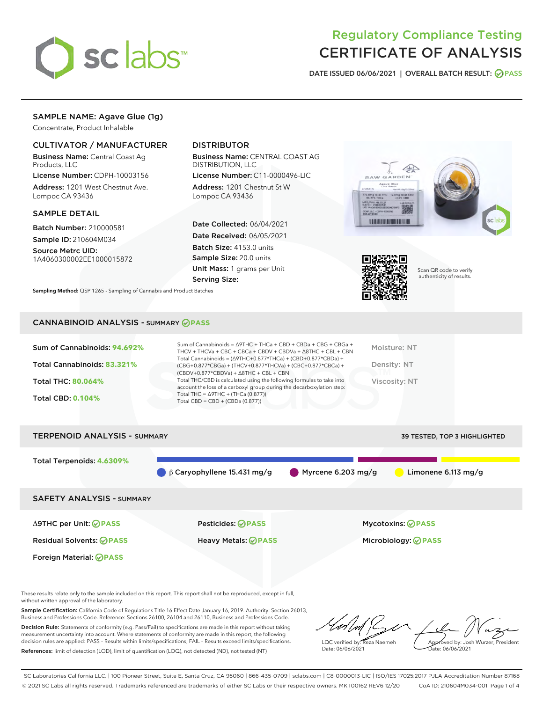

# Regulatory Compliance Testing CERTIFICATE OF ANALYSIS

DATE ISSUED 06/06/2021 | OVERALL BATCH RESULT: @ PASS

# SAMPLE NAME: Agave Glue (1g)

Concentrate, Product Inhalable

# CULTIVATOR / MANUFACTURER

Business Name: Central Coast Ag Products, LLC

License Number: CDPH-10003156 Address: 1201 West Chestnut Ave. Lompoc CA 93436

## SAMPLE DETAIL

Batch Number: 210000581 Sample ID: 210604M034

Source Metrc UID: 1A4060300002EE1000015872

# DISTRIBUTOR

Business Name: CENTRAL COAST AG DISTRIBUTION, LLC

License Number: C11-0000496-LIC Address: 1201 Chestnut St W Lompoc CA 93436

Date Collected: 06/04/2021 Date Received: 06/05/2021 Batch Size: 4153.0 units Sample Size: 20.0 units Unit Mass: 1 grams per Unit Serving Size:





Scan QR code to verify authenticity of results.

Sampling Method: QSP 1265 - Sampling of Cannabis and Product Batches

# CANNABINOID ANALYSIS - SUMMARY **PASS**

| Sum of Cannabinoids: 94.692%<br>Total Cannabinoids: 83.321% | Sum of Cannabinoids = $\triangle$ 9THC + THCa + CBD + CBDa + CBG + CBGa +<br>THCV + THCVa + CBC + CBCa + CBDV + CBDVa + $\land$ 8THC + CBL + CBN<br>Total Cannabinoids = $(\Delta$ 9THC+0.877*THCa) + (CBD+0.877*CBDa) +<br>(CBG+0.877*CBGa) + (THCV+0.877*THCVa) + (CBC+0.877*CBCa) +<br>$(CBDV+0.877*CBDVa) + \Delta 8THC + CBL + CBN$ | Moisture: NT<br>Density: NT |
|-------------------------------------------------------------|------------------------------------------------------------------------------------------------------------------------------------------------------------------------------------------------------------------------------------------------------------------------------------------------------------------------------------------|-----------------------------|
| <b>Total THC: 80.064%</b>                                   | Total THC/CBD is calculated using the following formulas to take into<br>account the loss of a carboxyl group during the decarboxylation step:                                                                                                                                                                                           | Viscosity: NT               |
| <b>Total CBD: 0.104%</b>                                    | Total THC = $\triangle$ 9THC + (THCa (0.877))<br>Total CBD = $CBD + (CBDa (0.877))$                                                                                                                                                                                                                                                      |                             |
|                                                             |                                                                                                                                                                                                                                                                                                                                          |                             |

TERPENOID ANALYSIS - SUMMARY 39 TESTED, TOP 3 HIGHLIGHTED Total Terpenoids: **4.6309%** β Caryophyllene 15.431 mg/g Myrcene 6.203 mg/g Limonene 6.113 mg/g SAFETY ANALYSIS - SUMMARY Δ9THC per Unit: **PASS** Pesticides: **PASS** Mycotoxins: **PASS** Residual Solvents: **PASS** Heavy Metals: **PASS** Microbiology: **PASS**

Foreign Material: **PASS**

These results relate only to the sample included on this report. This report shall not be reproduced, except in full, without written approval of the laboratory.

Sample Certification: California Code of Regulations Title 16 Effect Date January 16, 2019. Authority: Section 26013, Business and Professions Code. Reference: Sections 26100, 26104 and 26110, Business and Professions Code.

Decision Rule: Statements of conformity (e.g. Pass/Fail) to specifications are made in this report without taking measurement uncertainty into account. Where statements of conformity are made in this report, the following decision rules are applied: PASS – Results within limits/specifications, FAIL – Results exceed limits/specifications. References: limit of detection (LOD), limit of quantification (LOQ), not detected (ND), not tested (NT)

LQC verified by: Reza Naemeh Date: 06/06/2021 Approved by: Josh Wurzer, President Date: 06/06/2021

SC Laboratories California LLC. | 100 Pioneer Street, Suite E, Santa Cruz, CA 95060 | 866-435-0709 | sclabs.com | C8-0000013-LIC | ISO/IES 17025:2017 PJLA Accreditation Number 87168 © 2021 SC Labs all rights reserved. Trademarks referenced are trademarks of either SC Labs or their respective owners. MKT00162 REV6 12/20 CoA ID: 210604M034-001 Page 1 of 4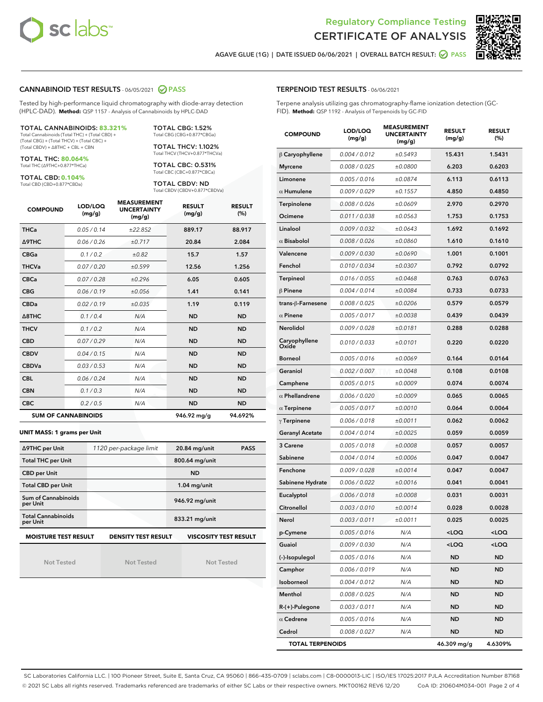



AGAVE GLUE (1G) | DATE ISSUED 06/06/2021 | OVERALL BATCH RESULT: @ PASS

## CANNABINOID TEST RESULTS - 06/05/2021 2 PASS

Tested by high-performance liquid chromatography with diode-array detection (HPLC-DAD). **Method:** QSP 1157 - Analysis of Cannabinoids by HPLC-DAD

#### TOTAL CANNABINOIDS: **83.321%**

Total Cannabinoids (Total THC) + (Total CBD) + (Total CBG) + (Total THCV) + (Total CBC) + (Total CBDV) + ∆8THC + CBL + CBN

TOTAL THC: **80.064%** Total THC (∆9THC+0.877\*THCa)

TOTAL CBD: **0.104%**

Total CBD (CBD+0.877\*CBDa)

TOTAL CBG: 1.52% Total CBG (CBG+0.877\*CBGa)

TOTAL THCV: 1.102% Total THCV (THCV+0.877\*THCVa)

TOTAL CBC: 0.531% Total CBC (CBC+0.877\*CBCa)

TOTAL CBDV: ND Total CBDV (CBDV+0.877\*CBDVa)

| <b>COMPOUND</b>  | LOD/LOQ<br>(mg/g)          | <b>MEASUREMENT</b><br><b>UNCERTAINTY</b><br>(mg/g) | <b>RESULT</b><br>(mg/g) | <b>RESULT</b><br>(%) |
|------------------|----------------------------|----------------------------------------------------|-------------------------|----------------------|
| <b>THCa</b>      | 0.05/0.14                  | ±22.852                                            | 889.17                  | 88.917               |
| <b>A9THC</b>     | 0.06 / 0.26                | ±0.717                                             | 20.84                   | 2.084                |
| <b>CBGa</b>      | 0.1 / 0.2                  | ±0.82                                              | 15.7                    | 1.57                 |
| <b>THCVa</b>     | 0.07 / 0.20                | ±0.599                                             | 12.56                   | 1.256                |
| <b>CBCa</b>      | 0.07/0.28                  | ±0.296                                             | 6.05                    | 0.605                |
| <b>CBG</b>       | 0.06/0.19                  | ±0.056                                             | 1.41                    | 0.141                |
| <b>CBDa</b>      | 0.02/0.19                  | ±0.035                                             | 1.19                    | 0.119                |
| $\triangle$ 8THC | 0.1/0.4                    | N/A                                                | <b>ND</b>               | <b>ND</b>            |
| <b>THCV</b>      | 0.1/0.2                    | N/A                                                | <b>ND</b>               | <b>ND</b>            |
| <b>CBD</b>       | 0.07/0.29                  | N/A                                                | <b>ND</b>               | <b>ND</b>            |
| <b>CBDV</b>      | 0.04/0.15                  | N/A                                                | <b>ND</b>               | <b>ND</b>            |
| <b>CBDVa</b>     | 0.03/0.53                  | N/A                                                | <b>ND</b>               | <b>ND</b>            |
| <b>CBL</b>       | 0.06 / 0.24                | N/A                                                | <b>ND</b>               | <b>ND</b>            |
| <b>CBN</b>       | 0.1/0.3                    | N/A                                                | <b>ND</b>               | <b>ND</b>            |
| <b>CBC</b>       | 0.2 / 0.5                  | N/A                                                | <b>ND</b>               | <b>ND</b>            |
|                  | <b>SUM OF CANNABINOIDS</b> |                                                    | 946.92 mg/g             | 94.692%              |

#### **UNIT MASS: 1 grams per Unit**

| ∆9THC per Unit                        | 1120 per-package limit     | 20.84 mg/unit<br><b>PASS</b> |
|---------------------------------------|----------------------------|------------------------------|
| <b>Total THC per Unit</b>             |                            | 800.64 mg/unit               |
| <b>CBD per Unit</b>                   |                            | <b>ND</b>                    |
| <b>Total CBD per Unit</b>             |                            | $1.04$ mg/unit               |
| Sum of Cannabinoids<br>per Unit       |                            | 946.92 mg/unit               |
| <b>Total Cannabinoids</b><br>per Unit |                            | 833.21 mg/unit               |
| <b>MOISTURE TEST RESULT</b>           | <b>DENSITY TEST RESULT</b> | <b>VISCOSITY TEST RESULT</b> |

Not Tested

Not Tested

Not Tested

## TERPENOID TEST RESULTS - 06/06/2021

Terpene analysis utilizing gas chromatography-flame ionization detection (GC-FID). **Method:** QSP 1192 - Analysis of Terpenoids by GC-FID

| <b>COMPOUND</b>         | LOD/LOQ<br>(mg/g) | <b>MEASUREMENT</b><br><b>UNCERTAINTY</b><br>(mg/g) | <b>RESULT</b><br>(mg/g)                         | <b>RESULT</b><br>$(\%)$ |
|-------------------------|-------------------|----------------------------------------------------|-------------------------------------------------|-------------------------|
| $\upbeta$ Caryophyllene | 0.004 / 0.012     | ±0.5493                                            | 15.431                                          | 1.5431                  |
| <b>Myrcene</b>          | 0.008 / 0.025     | ±0.0800                                            | 6.203                                           | 0.6203                  |
| Limonene                | 0.005 / 0.016     | ±0.0874                                            | 6.113                                           | 0.6113                  |
| $\alpha$ Humulene       | 0.009 / 0.029     | ±0.1557                                            | 4.850                                           | 0.4850                  |
| Terpinolene             | 0.008 / 0.026     | ±0.0609                                            | 2.970                                           | 0.2970                  |
| Ocimene                 | 0.011 / 0.038     | ±0.0563                                            | 1.753                                           | 0.1753                  |
| Linalool                | 0.009 / 0.032     | ±0.0643                                            | 1.692                                           | 0.1692                  |
| $\alpha$ Bisabolol      | 0.008 / 0.026     | ±0.0860                                            | 1.610                                           | 0.1610                  |
| Valencene               | 0.009 / 0.030     | ±0.0690                                            | 1.001                                           | 0.1001                  |
| Fenchol                 | 0.010 / 0.034     | ±0.0307                                            | 0.792                                           | 0.0792                  |
| <b>Terpineol</b>        | 0.016 / 0.055     | ±0.0468                                            | 0.763                                           | 0.0763                  |
| $\beta$ Pinene          | 0.004 / 0.014     | ±0.0084                                            | 0.733                                           | 0.0733                  |
| trans-ß-Farnesene       | 0.008 / 0.025     | ±0.0206                                            | 0.579                                           | 0.0579                  |
| $\alpha$ Pinene         | 0.005 / 0.017     | ±0.0038                                            | 0.439                                           | 0.0439                  |
| Nerolidol               | 0.009 / 0.028     | ±0.0181                                            | 0.288                                           | 0.0288                  |
| Caryophyllene<br>Oxide  | 0.010 / 0.033     | ±0.0101                                            | 0.220                                           | 0.0220                  |
| <b>Borneol</b>          | 0.005 / 0.016     | ±0.0069                                            | 0.164                                           | 0.0164                  |
| Geraniol                | 0.002 / 0.007     | ±0.0048                                            | 0.108                                           | 0.0108                  |
| Camphene                | 0.005 / 0.015     | ±0.0009                                            | 0.074                                           | 0.0074                  |
| $\alpha$ Phellandrene   | 0.006 / 0.020     | ±0.0009                                            | 0.065                                           | 0.0065                  |
| $\alpha$ Terpinene      | 0.005 / 0.017     | ±0.0010                                            | 0.064                                           | 0.0064                  |
| $\gamma$ Terpinene      | 0.006 / 0.018     | ±0.0011                                            | 0.062                                           | 0.0062                  |
| <b>Geranyl Acetate</b>  | 0.004 / 0.014     | ±0.0025                                            | 0.059                                           | 0.0059                  |
| 3 Carene                | 0.005 / 0.018     | ±0.0008                                            | 0.057                                           | 0.0057                  |
| Sabinene                | 0.004 / 0.014     | ±0.0006                                            | 0.047                                           | 0.0047                  |
| Fenchone                | 0.009 / 0.028     | ±0.0014                                            | 0.047                                           | 0.0047                  |
| Sabinene Hydrate        | 0.006 / 0.022     | ±0.0016                                            | 0.041                                           | 0.0041                  |
| Eucalyptol              | 0.006 / 0.018     | ±0.0008                                            | 0.031                                           | 0.0031                  |
| Citronellol             | 0.003 / 0.010     | ±0.0014                                            | 0.028                                           | 0.0028                  |
| Nerol                   | 0.003 / 0.011     | ±0.0011                                            | 0.025                                           | 0.0025                  |
| p-Cymene                | 0.005 / 0.016     | N/A                                                | <loq< th=""><th><loq< th=""></loq<></th></loq<> | <loq< th=""></loq<>     |
| Guaiol                  | 0.009 / 0.030     | N/A                                                | <loq< th=""><th><loq< th=""></loq<></th></loq<> | <loq< th=""></loq<>     |
| (-)-Isopulegol          | 0.005 / 0.016     | N/A                                                | ND                                              | ND                      |
| Camphor                 | 0.006 / 0.019     | N/A                                                | ND                                              | ND                      |
| Isoborneol              | 0.004 / 0.012     | N/A                                                | ND                                              | ND                      |
| Menthol                 | 0.008 / 0.025     | N/A                                                | ND                                              | ND                      |
| R-(+)-Pulegone          | 0.003 / 0.011     | N/A                                                | ND                                              | ND                      |
| $\alpha$ Cedrene        | 0.005 / 0.016     | N/A                                                | ND                                              | ND                      |
| Cedrol                  | 0.008 / 0.027     | N/A                                                | ND                                              | <b>ND</b>               |
| <b>TOTAL TERPENOIDS</b> |                   |                                                    | 46.309 mg/g                                     | 4.6309%                 |

SC Laboratories California LLC. | 100 Pioneer Street, Suite E, Santa Cruz, CA 95060 | 866-435-0709 | sclabs.com | C8-0000013-LIC | ISO/IES 17025:2017 PJLA Accreditation Number 87168 © 2021 SC Labs all rights reserved. Trademarks referenced are trademarks of either SC Labs or their respective owners. MKT00162 REV6 12/20 CoA ID: 210604M034-001 Page 2 of 4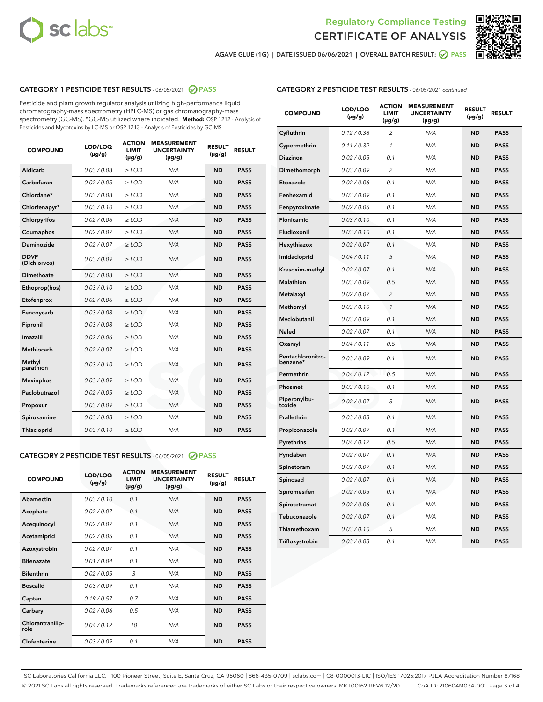



AGAVE GLUE (1G) | DATE ISSUED 06/06/2021 | OVERALL BATCH RESULT: 2 PASS

# CATEGORY 1 PESTICIDE TEST RESULTS - 06/05/2021 2 PASS

Pesticide and plant growth regulator analysis utilizing high-performance liquid chromatography-mass spectrometry (HPLC-MS) or gas chromatography-mass spectrometry (GC-MS). \*GC-MS utilized where indicated. **Method:** QSP 1212 - Analysis of Pesticides and Mycotoxins by LC-MS or QSP 1213 - Analysis of Pesticides by GC-MS

| <b>COMPOUND</b>             | LOD/LOQ<br>$(\mu g/g)$ | <b>ACTION</b><br><b>LIMIT</b><br>$(\mu g/g)$ | <b>MEASUREMENT</b><br><b>UNCERTAINTY</b><br>$(\mu g/g)$ | <b>RESULT</b><br>$(\mu g/g)$ | <b>RESULT</b> |
|-----------------------------|------------------------|----------------------------------------------|---------------------------------------------------------|------------------------------|---------------|
| Aldicarb                    | 0.03/0.08              | $>$ LOD                                      | N/A                                                     | <b>ND</b>                    | <b>PASS</b>   |
| Carbofuran                  | 0.02 / 0.05            | $\geq$ LOD                                   | N/A                                                     | <b>ND</b>                    | <b>PASS</b>   |
| Chlordane*                  | 0.03/0.08              | $>$ LOD                                      | N/A                                                     | <b>ND</b>                    | <b>PASS</b>   |
| Chlorfenapyr*               | 0.03/0.10              | $\geq$ LOD                                   | N/A                                                     | <b>ND</b>                    | <b>PASS</b>   |
| Chlorpyrifos                | 0.02 / 0.06            | $\geq$ LOD                                   | N/A                                                     | <b>ND</b>                    | <b>PASS</b>   |
| Coumaphos                   | 0.02 / 0.07            | $\ge$ LOD                                    | N/A                                                     | <b>ND</b>                    | <b>PASS</b>   |
| Daminozide                  | 0.02 / 0.07            | $\ge$ LOD                                    | N/A                                                     | <b>ND</b>                    | <b>PASS</b>   |
| <b>DDVP</b><br>(Dichlorvos) | 0.03/0.09              | $\ge$ LOD                                    | N/A                                                     | <b>ND</b>                    | <b>PASS</b>   |
| <b>Dimethoate</b>           | 0.03/0.08              | $\ge$ LOD                                    | N/A                                                     | <b>ND</b>                    | <b>PASS</b>   |
| Ethoprop(hos)               | 0.03/0.10              | $\ge$ LOD                                    | N/A                                                     | <b>ND</b>                    | <b>PASS</b>   |
| Etofenprox                  | 0.02 / 0.06            | $\ge$ LOD                                    | N/A                                                     | <b>ND</b>                    | <b>PASS</b>   |
| Fenoxycarb                  | 0.03/0.08              | $\ge$ LOD                                    | N/A                                                     | <b>ND</b>                    | <b>PASS</b>   |
| Fipronil                    | 0.03/0.08              | $>$ LOD                                      | N/A                                                     | <b>ND</b>                    | <b>PASS</b>   |
| Imazalil                    | 0.02 / 0.06            | $>$ LOD                                      | N/A                                                     | <b>ND</b>                    | <b>PASS</b>   |
| Methiocarb                  | 0.02 / 0.07            | $\ge$ LOD                                    | N/A                                                     | <b>ND</b>                    | <b>PASS</b>   |
| Methyl<br>parathion         | 0.03/0.10              | $\ge$ LOD                                    | N/A                                                     | <b>ND</b>                    | <b>PASS</b>   |
| <b>Mevinphos</b>            | 0.03/0.09              | $\ge$ LOD                                    | N/A                                                     | <b>ND</b>                    | <b>PASS</b>   |
| Paclobutrazol               | 0.02 / 0.05            | $>$ LOD                                      | N/A                                                     | <b>ND</b>                    | <b>PASS</b>   |
| Propoxur                    | 0.03/0.09              | $\ge$ LOD                                    | N/A                                                     | <b>ND</b>                    | <b>PASS</b>   |
| Spiroxamine                 | 0.03 / 0.08            | $\ge$ LOD                                    | N/A                                                     | <b>ND</b>                    | <b>PASS</b>   |
| Thiacloprid                 | 0.03/0.10              | $\ge$ LOD                                    | N/A                                                     | <b>ND</b>                    | <b>PASS</b>   |
|                             |                        |                                              |                                                         |                              |               |

## CATEGORY 2 PESTICIDE TEST RESULTS - 06/05/2021 @ PASS

| <b>COMPOUND</b>          | LOD/LOO<br>$(\mu g/g)$ | <b>ACTION</b><br>LIMIT<br>$(\mu g/g)$ | <b>MEASUREMENT</b><br><b>UNCERTAINTY</b><br>$(\mu g/g)$ | <b>RESULT</b><br>$(\mu g/g)$ | <b>RESULT</b> |
|--------------------------|------------------------|---------------------------------------|---------------------------------------------------------|------------------------------|---------------|
| Abamectin                | 0.03/0.10              | 0.1                                   | N/A                                                     | <b>ND</b>                    | <b>PASS</b>   |
| Acephate                 | 0.02/0.07              | 0.1                                   | N/A                                                     | <b>ND</b>                    | <b>PASS</b>   |
| Acequinocyl              | 0.02/0.07              | 0.1                                   | N/A                                                     | <b>ND</b>                    | <b>PASS</b>   |
| Acetamiprid              | 0.02/0.05              | 0.1                                   | N/A                                                     | <b>ND</b>                    | <b>PASS</b>   |
| Azoxystrobin             | 0.02/0.07              | 0.1                                   | N/A                                                     | <b>ND</b>                    | <b>PASS</b>   |
| <b>Bifenazate</b>        | 0.01/0.04              | 0.1                                   | N/A                                                     | <b>ND</b>                    | <b>PASS</b>   |
| <b>Bifenthrin</b>        | 0.02 / 0.05            | 3                                     | N/A                                                     | <b>ND</b>                    | <b>PASS</b>   |
| <b>Boscalid</b>          | 0.03/0.09              | 0.1                                   | N/A                                                     | <b>ND</b>                    | <b>PASS</b>   |
| Captan                   | 0.19/0.57              | 0.7                                   | N/A                                                     | <b>ND</b>                    | <b>PASS</b>   |
| Carbaryl                 | 0.02/0.06              | 0.5                                   | N/A                                                     | <b>ND</b>                    | <b>PASS</b>   |
| Chlorantranilip-<br>role | 0.04/0.12              | 10                                    | N/A                                                     | <b>ND</b>                    | <b>PASS</b>   |
| Clofentezine             | 0.03/0.09              | 0.1                                   | N/A                                                     | <b>ND</b>                    | <b>PASS</b>   |

# CATEGORY 2 PESTICIDE TEST RESULTS - 06/05/2021 continued

| <b>COMPOUND</b>               | LOD/LOQ<br>$(\mu g/g)$ | <b>ACTION</b><br>LIMIT<br>$(\mu g/g)$ | <b>MEASUREMENT</b><br><b>UNCERTAINTY</b><br>(µg/g) | <b>RESULT</b><br>(µg/g) | <b>RESULT</b> |
|-------------------------------|------------------------|---------------------------------------|----------------------------------------------------|-------------------------|---------------|
| Cyfluthrin                    | 0.12 / 0.38            | 2                                     | N/A                                                | ND                      | <b>PASS</b>   |
| Cypermethrin                  | 0.11 / 0.32            | $\mathbf{1}$                          | N/A                                                | <b>ND</b>               | <b>PASS</b>   |
| <b>Diazinon</b>               | 0.02 / 0.05            | 0.1                                   | N/A                                                | ND                      | <b>PASS</b>   |
| Dimethomorph                  | 0.03 / 0.09            | 2                                     | N/A                                                | ND                      | <b>PASS</b>   |
| Etoxazole                     | 0.02 / 0.06            | 0.1                                   | N/A                                                | ND                      | <b>PASS</b>   |
| Fenhexamid                    | 0.03 / 0.09            | 0.1                                   | N/A                                                | ND                      | <b>PASS</b>   |
| Fenpyroximate                 | 0.02 / 0.06            | 0.1                                   | N/A                                                | ND                      | <b>PASS</b>   |
| Flonicamid                    | 0.03 / 0.10            | 0.1                                   | N/A                                                | <b>ND</b>               | <b>PASS</b>   |
| Fludioxonil                   | 0.03 / 0.10            | 0.1                                   | N/A                                                | ND                      | <b>PASS</b>   |
| Hexythiazox                   | 0.02 / 0.07            | 0.1                                   | N/A                                                | ND                      | <b>PASS</b>   |
| Imidacloprid                  | 0.04 / 0.11            | 5                                     | N/A                                                | <b>ND</b>               | <b>PASS</b>   |
| Kresoxim-methyl               | 0.02 / 0.07            | 0.1                                   | N/A                                                | <b>ND</b>               | <b>PASS</b>   |
| Malathion                     | 0.03 / 0.09            | 0.5                                   | N/A                                                | ND                      | <b>PASS</b>   |
| Metalaxyl                     | 0.02 / 0.07            | $\overline{c}$                        | N/A                                                | <b>ND</b>               | <b>PASS</b>   |
| Methomyl                      | 0.03 / 0.10            | 1                                     | N/A                                                | <b>ND</b>               | <b>PASS</b>   |
| Myclobutanil                  | 0.03 / 0.09            | 0.1                                   | N/A                                                | ND                      | <b>PASS</b>   |
| Naled                         | 0.02 / 0.07            | 0.1                                   | N/A                                                | ND                      | <b>PASS</b>   |
| Oxamyl                        | 0.04/0.11              | 0.5                                   | N/A                                                | ND                      | <b>PASS</b>   |
| Pentachloronitro-<br>benzene* | 0.03 / 0.09            | 0.1                                   | N/A                                                | ND                      | PASS          |
| Permethrin                    | 0.04 / 0.12            | 0.5                                   | N/A                                                | <b>ND</b>               | <b>PASS</b>   |
| Phosmet                       | 0.03/0.10              | 0.1                                   | N/A                                                | ND                      | <b>PASS</b>   |
| Piperonylbu-<br>toxide        | 0.02 / 0.07            | 3                                     | N/A                                                | ND                      | <b>PASS</b>   |
| Prallethrin                   | 0.03 / 0.08            | 0.1                                   | N/A                                                | ND                      | <b>PASS</b>   |
| Propiconazole                 | 0.02 / 0.07            | 0.1                                   | N/A                                                | ND                      | PASS          |
| Pyrethrins                    | 0.04 / 0.12            | 0.5                                   | N/A                                                | ND                      | <b>PASS</b>   |
| Pyridaben                     | 0.02 / 0.07            | 0.1                                   | N/A                                                | ND                      | PASS          |
| Spinetoram                    | 0.02 / 0.07            | 0.1                                   | N/A                                                | ND                      | PASS          |
| Spinosad                      | 0.02 / 0.07            | 0.1                                   | N/A                                                | <b>ND</b>               | <b>PASS</b>   |
| Spiromesifen                  | 0.02 / 0.05            | 0.1                                   | N/A                                                | ND                      | PASS          |
| Spirotetramat                 | 0.02 / 0.06            | 0.1                                   | N/A                                                | ND                      | <b>PASS</b>   |
| Tebuconazole                  | 0.02 / 0.07            | 0.1                                   | N/A                                                | ND                      | <b>PASS</b>   |
| Thiamethoxam                  | 0.03 / 0.10            | 5                                     | N/A                                                | ND                      | <b>PASS</b>   |
| Trifloxystrobin               | 0.03 / 0.08            | 0.1                                   | N/A                                                | <b>ND</b>               | <b>PASS</b>   |

SC Laboratories California LLC. | 100 Pioneer Street, Suite E, Santa Cruz, CA 95060 | 866-435-0709 | sclabs.com | C8-0000013-LIC | ISO/IES 17025:2017 PJLA Accreditation Number 87168 © 2021 SC Labs all rights reserved. Trademarks referenced are trademarks of either SC Labs or their respective owners. MKT00162 REV6 12/20 CoA ID: 210604M034-001 Page 3 of 4